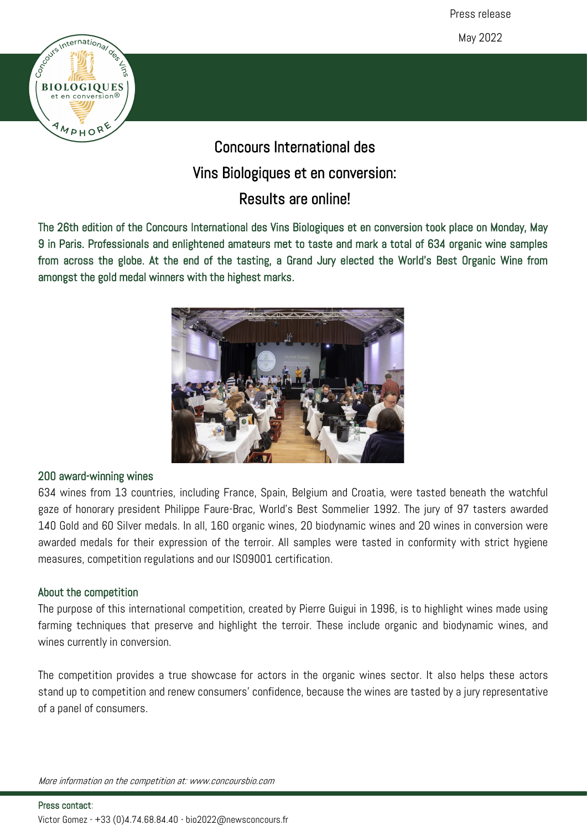Press release

May 2022



# Concours International des Vins Biologiques et en conversion: Results are online!

The 26th edition of the Concours International des Vins Biologiques et en conversion took place on Monday, May 9 in Paris. Professionals and enlightened amateurs met to taste and mark a total of 634 organic wine samples from across the globe. At the end of the tasting, a Grand Jury elected the World's Best Organic Wine from amongst the gold medal winners with the highest marks.



### 200 award-winning wines

634 wines from 13 countries, including France, Spain, Belgium and Croatia, were tasted beneath the watchful gaze of honorary president Philippe Faure-Brac, World's Best Sommelier 1992. The jury of 97 tasters awarded 140 Gold and 60 Silver medals. In all, 160 organic wines, 20 biodynamic wines and 20 wines in conversion were awarded medals for their expression of the terroir. All samples were tasted in conformity with strict hygiene measures, competition regulations and our ISO9001 certification.

### About the competition

The purpose of this international competition, created by Pierre Guigui in 1996, is to highlight wines made using farming techniques that preserve and highlight the terroir. These include organic and biodynamic wines, and wines currently in conversion.

The competition provides a true showcase for actors in the organic wines sector. It also helps these actors stand up to competition and renew consumers' confidence, because the wines are tasted by a jury representative of a panel of consumers.

More information on the competition at: www.concoursbio.com